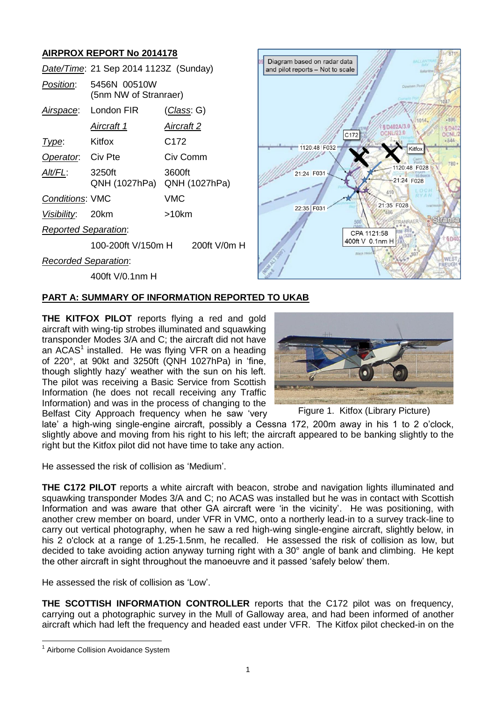# **AIRPROX REPORT No 2014178**

|                             | Date/Time: 21 Sep 2014 1123Z (Sunday) |                         |
|-----------------------------|---------------------------------------|-------------------------|
| Position:                   | 5456N 00510W<br>(5nm NW of Stranraer) |                         |
| Airspace:                   | London FIR                            | <u>(Class</u> : G)      |
|                             | <u>Aircraft 1</u>                     | Aircraft 2              |
| Type:                       | Kitfox                                | C <sub>172</sub>        |
| Operator. Civ Pte           |                                       | Civ Comm                |
| AIt/FL:                     | 3250ft<br>QNH (1027hPa)               | 3600ft<br>QNH (1027hPa) |
| <b>Conditions: VMC</b>      |                                       | VMC                     |
| Visibility: 20km            |                                       | >10km                   |
| Reported Separation:        |                                       |                         |
|                             | 100-200ft V/150m H                    | $200\text{ft}$ V/0m H   |
| <b>Recorded Separation:</b> |                                       |                         |



400ft V/0.1nm H

# **PART A: SUMMARY OF INFORMATION REPORTED TO UKAB**

**THE KITFOX PILOT** reports flying a red and gold aircraft with wing-tip strobes illuminated and squawking transponder Modes 3/A and C; the aircraft did not have an  $ACAS<sup>1</sup>$  installed. He was flying VFR on a heading of 220°, at 90kt and 3250ft (QNH 1027hPa) in 'fine, though slightly hazy' weather with the sun on his left. The pilot was receiving a Basic Service from Scottish Information (he does not recall receiving any Traffic Information) and was in the process of changing to the Belfast City Approach frequency when he saw 'very



Figure 1. Kitfox (Library Picture)

late' a high-wing single-engine aircraft, possibly a Cessna 172, 200m away in his 1 to 2 o'clock, slightly above and moving from his right to his left; the aircraft appeared to be banking slightly to the right but the Kitfox pilot did not have time to take any action.

He assessed the risk of collision as 'Medium'.

**THE C172 PILOT** reports a white aircraft with beacon, strobe and navigation lights illuminated and squawking transponder Modes 3/A and C; no ACAS was installed but he was in contact with Scottish Information and was aware that other GA aircraft were 'in the vicinity'. He was positioning, with another crew member on board, under VFR in VMC, onto a northerly lead-in to a survey track-line to carry out vertical photography, when he saw a red high-wing single-engine aircraft, slightly below, in his 2 o'clock at a range of 1.25-1.5nm, he recalled. He assessed the risk of collision as low, but decided to take avoiding action anyway turning right with a 30° angle of bank and climbing. He kept the other aircraft in sight throughout the manoeuvre and it passed 'safely below' them.

He assessed the risk of collision as 'Low'.

**THE SCOTTISH INFORMATION CONTROLLER** reports that the C172 pilot was on frequency, carrying out a photographic survey in the Mull of Galloway area, and had been informed of another aircraft which had left the frequency and headed east under VFR. The Kitfox pilot checked-in on the

 $\overline{a}$ <sup>1</sup> Airborne Collision Avoidance System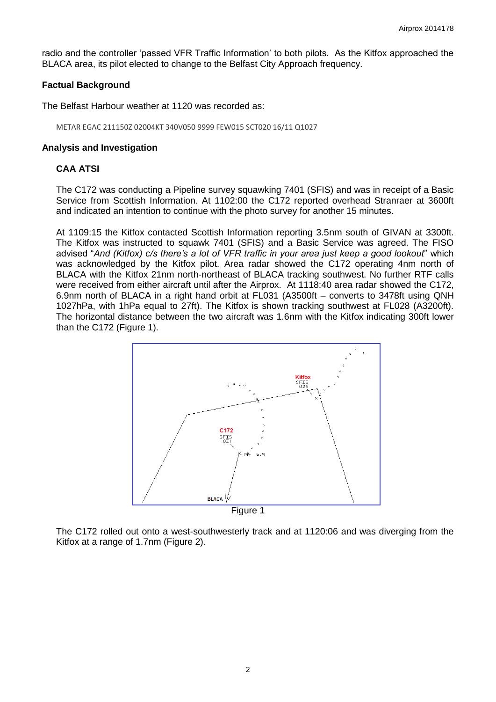radio and the controller 'passed VFR Traffic Information' to both pilots. As the Kitfox approached the BLACA area, its pilot elected to change to the Belfast City Approach frequency.

### **Factual Background**

The Belfast Harbour weather at 1120 was recorded as:

METAR EGAC 211150Z 02004KT 340V050 9999 FEW015 SCT020 16/11 Q1027

### **Analysis and Investigation**

### **CAA ATSI**

The C172 was conducting a Pipeline survey squawking 7401 (SFIS) and was in receipt of a Basic Service from Scottish Information. At 1102:00 the C172 reported overhead Stranraer at 3600ft and indicated an intention to continue with the photo survey for another 15 minutes.

At 1109:15 the Kitfox contacted Scottish Information reporting 3.5nm south of GIVAN at 3300ft. The Kitfox was instructed to squawk 7401 (SFIS) and a Basic Service was agreed. The FISO advised "*And (Kitfox) c/s there's a lot of VFR traffic in your area just keep a good lookout*" which was acknowledged by the Kitfox pilot. Area radar showed the C172 operating 4nm north of BLACA with the Kitfox 21nm north-northeast of BLACA tracking southwest. No further RTF calls were received from either aircraft until after the Airprox. At 1118:40 area radar showed the C172, 6.9nm north of BLACA in a right hand orbit at FL031 (A3500ft – converts to 3478ft using QNH 1027hPa, with 1hPa equal to 27ft). The Kitfox is shown tracking southwest at FL028 (A3200ft). The horizontal distance between the two aircraft was 1.6nm with the Kitfox indicating 300ft lower than the C172 (Figure 1).



The C172 rolled out onto a west-southwesterly track and at 1120:06 and was diverging from the Kitfox at a range of 1.7nm (Figure 2).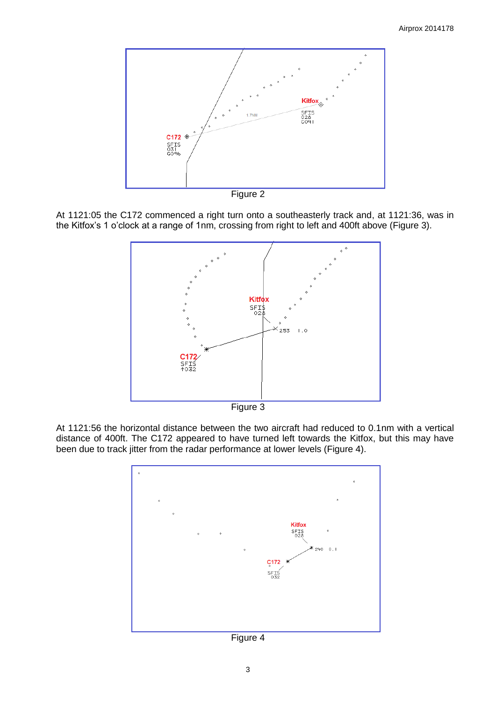

Figure 2

At 1121:05 the C172 commenced a right turn onto a southeasterly track and, at 1121:36, was in the Kitfox's 1 o'clock at a range of 1nm, crossing from right to left and 400ft above (Figure 3).



Figure 3

At 1121:56 the horizontal distance between the two aircraft had reduced to 0.1nm with a vertical distance of 400ft. The C172 appeared to have turned left towards the Kitfox, but this may have been due to track jitter from the radar performance at lower levels (Figure 4).



Figure 4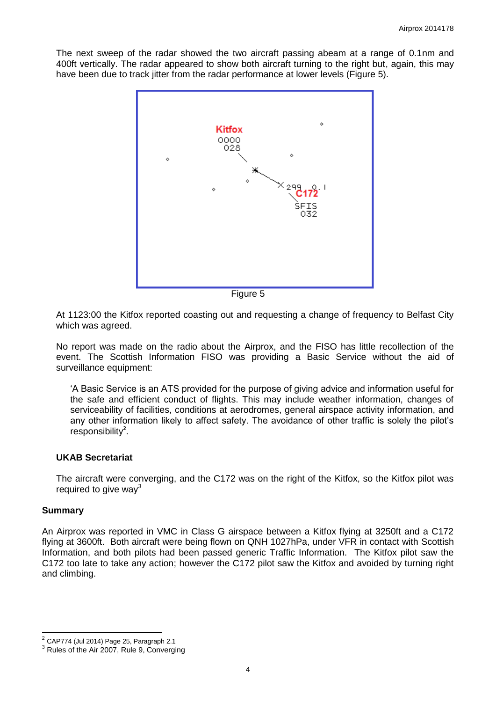The next sweep of the radar showed the two aircraft passing abeam at a range of 0.1nm and 400ft vertically. The radar appeared to show both aircraft turning to the right but, again, this may have been due to track jitter from the radar performance at lower levels (Figure 5).



Figure 5

At 1123:00 the Kitfox reported coasting out and requesting a change of frequency to Belfast City which was agreed.

No report was made on the radio about the Airprox, and the FISO has little recollection of the event. The Scottish Information FISO was providing a Basic Service without the aid of surveillance equipment:

'A Basic Service is an ATS provided for the purpose of giving advice and information useful for the safe and efficient conduct of flights. This may include weather information, changes of serviceability of facilities, conditions at aerodromes, general airspace activity information, and any other information likely to affect safety. The avoidance of other traffic is solely the pilot's responsibility**<sup>2</sup>** .

#### **UKAB Secretariat**

The aircraft were converging, and the C172 was on the right of the Kitfox, so the Kitfox pilot was required to give way $3$ 

#### **Summary**

 $\overline{\phantom{a}}$ 

An Airprox was reported in VMC in Class G airspace between a Kitfox flying at 3250ft and a C172 flying at 3600ft. Both aircraft were being flown on QNH 1027hPa, under VFR in contact with Scottish Information, and both pilots had been passed generic Traffic Information. The Kitfox pilot saw the C172 too late to take any action; however the C172 pilot saw the Kitfox and avoided by turning right and climbing.

 $2^{2}$  CAP774 (Jul 2014) Page 25, Paragraph 2.1

<sup>&</sup>lt;sup>3</sup> Rules of the Air 2007, Rule 9, Converging